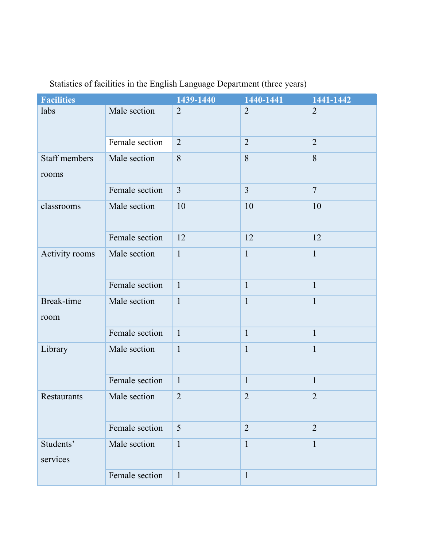| <b>Facilities</b>             |                | 1439-1440      | 1440-1441      | 1441-1442      |
|-------------------------------|----------------|----------------|----------------|----------------|
| labs                          | Male section   | $\overline{2}$ | $\overline{2}$ | $\overline{2}$ |
|                               | Female section | $\overline{2}$ | $\overline{2}$ | $\overline{2}$ |
| <b>Staff members</b><br>rooms | Male section   | 8              | 8              | 8              |
|                               | Female section | $\overline{3}$ | $\overline{3}$ | $\overline{7}$ |
| classrooms                    | Male section   | 10             | $10\,$         | 10             |
|                               | Female section | 12             | 12             | 12             |
| Activity rooms                | Male section   | $\mathbf{1}$   | $\mathbf{1}$   | $\mathbf{1}$   |
|                               | Female section | $\mathbf{1}$   | $\mathbf{1}$   | $\mathbf{1}$   |
| <b>Break-time</b><br>room     | Male section   | $\mathbf{1}$   | $\mathbf{1}$   | $\mathbf{1}$   |
|                               | Female section | $\mathbf{1}$   | $\mathbf{1}$   | $\mathbf{1}$   |
| Library                       | Male section   | $\mathbf{1}$   | $\mathbf{1}$   | $\mathbf{1}$   |
|                               | Female section | $\mathbf{1}$   | $\mathbf{1}$   | $\mathbf{1}$   |
| Restaurants                   | Male section   | $\overline{2}$ | $\overline{2}$ | $\overline{2}$ |
|                               | Female section | 5              | $\overline{2}$ | $\overline{2}$ |
| Students'<br>services         | Male section   | $\mathbf{1}$   | $\mathbf{1}$   | $\mathbf{1}$   |
|                               | Female section | $\mathbf{1}$   | $\mathbf{1}$   |                |

## Statistics of facilities in the English Language Department (three years)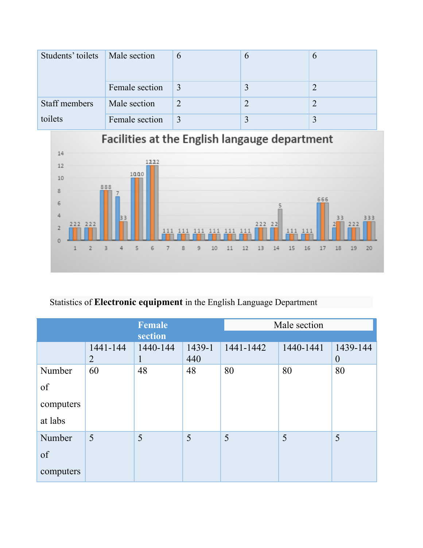| Students' toilets   Male section |                | $\mathfrak b$ | $\mathfrak b$ |
|----------------------------------|----------------|---------------|---------------|
|                                  | Female section |               |               |
| Staff members                    | Male section   |               |               |
| toilets                          | Female section |               |               |



## Statistics of **Electronic equipment** in the English Language Department

| Female    |               |                          | Male section  |           |           |                      |
|-----------|---------------|--------------------------|---------------|-----------|-----------|----------------------|
| section   |               |                          |               |           |           |                      |
|           | 1441-144<br>2 | 1440-144<br>$\mathbf{1}$ | 1439-1<br>440 | 1441-1442 | 1440-1441 | 1439-144<br>$\theta$ |
| Number    | 60            | 48                       | 48            | 80        | 80        | 80                   |
| of        |               |                          |               |           |           |                      |
| computers |               |                          |               |           |           |                      |
| at labs   |               |                          |               |           |           |                      |
| Number    | 5             | 5                        | 5             | 5         | 5         | 5                    |
| of        |               |                          |               |           |           |                      |
| computers |               |                          |               |           |           |                      |